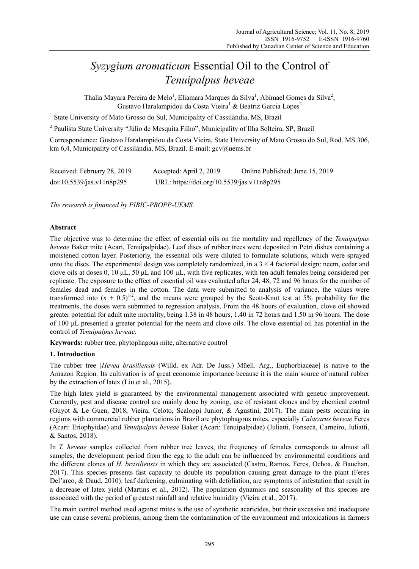# *Syzygium aromaticum* Essential Oil to the Control of *Tenuipalpus heveae*

Thalia Mayara Pereira de Melo<sup>1</sup>, Eliamara Marques da Silva<sup>1</sup>, Abimael Gomes da Silva<sup>2</sup>, Gustavo Haralampidou da Costa Vieira<sup>1</sup> & Beatriz Garcia Lopes<sup>2</sup>

<sup>1</sup> State University of Mato Grosso do Sul, Municipality of Cassilândia, MS, Brazil

<sup>2</sup> Paulista State University "Júlio de Mesquita Filho", Municipality of Ilha Solteira, SP, Brazil

Correspondence: Gustavo Haralampidou da Costa Vieira, State University of Mato Grosso do Sul, Rod. MS 306, km 6,4, Municipality of Cassilândia, MS, Brazil. E-mail: gcv@uems.br

| Received: February 28, 2019 | Accepted: April 2, 2019                    | Online Published: June 15, 2019 |
|-----------------------------|--------------------------------------------|---------------------------------|
| doi:10.5539/jas.v11n8p295   | URL: https://doi.org/10.5539/jas.v11n8p295 |                                 |

*The research is financed by PIBIC-PROPP-UEMS.* 

## **Abstract**

The objective was to determine the effect of essential oils on the mortality and repellency of the *Tenuipalpus heveae* Baker mite (Acari, Tenuipalpidae). Leaf discs of rubber trees were deposited in Petri dishes containing a moistened cotton layer. Posteriorly, the essential oils were diluted to formulate solutions, which were sprayed onto the discs. The experimental design was completely randomized, in a  $3 \times 4$  factorial design: neem, cedar and clove oils at doses 0, 10 μL, 50 μL and 100 μL, with five replicates, with ten adult females being considered per replicate. The exposure to the effect of essential oil was evaluated after 24, 48, 72 and 96 hours for the number of females dead and females in the cotton. The data were submitted to analysis of variance, the values were transformed into  $(x + 0.5)^{1/2}$ , and the means were grouped by the Scott-Knot test at 5% probability for the treatments, the doses were submitted to regression analysis. From the 48 hours of evaluation, clove oil showed greater potential for adult mite mortality, being 1.38 in 48 hours, 1.40 in 72 hours and 1.50 in 96 hours. The dose of 100 μL presented a greater potential for the neem and clove oils. The clove essential oil has potential in the control of *Tenuipalpus heveae*.

**Keywords:** rubber tree, phytophagous mite, alternative control

## **1. Introduction**

The rubber tree [*Hevea brasiliensis* (Willd. ex Adr. De Juss.) Müell. Arg., Euphorbiaceae] is native to the Amazon Region. Its cultivation is of great economic importance because it is the main source of natural rubber by the extraction of latex (Liu et al., 2015).

The high latex yield is guaranteed by the environmental management associated with genetic improvement. Currently, pest and disease control are mainly done by zoning, use of resistant clones and by chemical control (Guyot & Le Guen, 2018, Vieira, Celoto, Scaloppi Junior, & Agustini, 2017). The main pests occurring in regions with commercial rubber plantations in Brazil are phytophagous mites, especially *Calacarus heveae* Feres (Acari: Eriophyidae) and *Tenuipalpus heveae* Baker (Acari: Tenuipalpidae) (Juliatti, Fonseca, Carneiro, Juliatti, & Santos, 2018).

In *T. heveae* samples collected from rubber tree leaves, the frequency of females corresponds to almost all samples, the development period from the egg to the adult can be influenced by environmental conditions and the different clones of *H. brasiliensis* in which they are associated (Castro, Ramos, Feres, Ochoa, & Bauchan, 2017). This species presents fast capacity to double its population causing great damage to the plant (Feres Del'arco, & Daud, 2010): leaf darkening, culminating with defoliation, are symptoms of infestation that result in a decrease of latex yield (Martins et al., 2012). The population dynamics and seasonality of this species are associated with the period of greatest rainfall and relative humidity (Vieira et al., 2017).

The main control method used against mites is the use of synthetic acaricides, but their excessive and inadequate use can cause several problems, among them the contamination of the environment and intoxications in farmers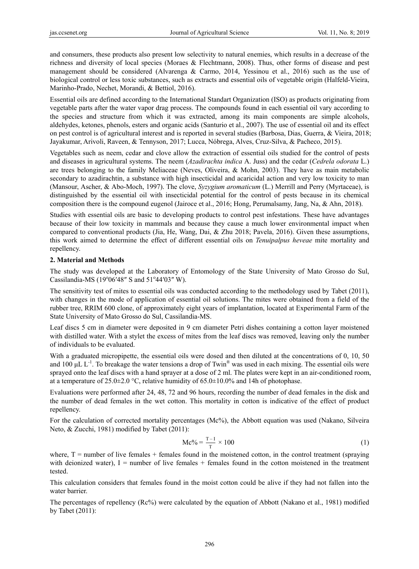and consumers, these products also present low selectivity to natural enemies, which results in a decrease of the richness and diversity of local species (Moraes & Flechtmann, 2008). Thus, other forms of disease and pest management should be considered (Alvarenga & Carmo, 2014, Yessinou et al., 2016) such as the use of biological control or less toxic substances, such as extracts and essential oils of vegetable origin (Halfeld-Vieira, Marinho-Prado, Nechet, Morandi, & Bettiol, 2016).

Essential oils are defined according to the International Standart Organization (ISO) as products originating from vegetable parts after the water vapor drag process. The compounds found in each essential oil vary according to the species and structure from which it was extracted, among its main components are simple alcohols, aldehydes, ketones, phenols, esters and organic acids (Santurio et al., 2007). The use of essential oil and its effect on pest control is of agricultural interest and is reported in several studies (Barbosa, Dias, Guerra, & Vieira, 2018; Jayakumar, Arivoli, Raveen, & Tennyson, 2017; Lucca, Nóbrega, Alves, Cruz-Silva, & Pacheco, 2015).

Vegetables such as neem, cedar and clove allow the extraction of essential oils studied for the control of pests and diseases in agricultural systems. The neem (*Azadirachta indica* A. Juss) and the cedar (*Cedrela odorata* L.) are trees belonging to the family Meliaceae (Neves, Oliveira, & Mohn, 2003). They have as main metabolic secondary to azadirachtin, a substance with high insecticidal and acaricidal action and very low toxicity to man (Mansour, Ascher, & Abo-Moch, 1997). The clove, *Syzygium aromaticum* (L.) Merrill and Perry (Myrtaceae), is distinguished by the essential oil with insecticidal potential for the control of pests because in its chemical composition there is the compound eugenol (Jairoce et al., 2016; Hong, Perumalsamy, Jang, Na, & Ahn, 2018).

Studies with essential oils are basic to developing products to control pest infestations. These have advantages because of their low toxicity in mammals and because they cause a much lower environmental impact when compared to conventional products (Jia, He, Wang, Dai, & Zhu 2018; Pavela, 2016). Given these assumptions, this work aimed to determine the effect of different essential oils on *Tenuipalpus heveae* mite mortality and repellency.

## **2. Material and Methods**

The study was developed at the Laboratory of Entomology of the State University of Mato Grosso do Sul, Cassilandia-MS ( $19^{\circ}06'48''$  S and  $51^{\circ}44'03''$  W).

The sensitivity test of mites to essential oils was conducted according to the methodology used by Tabet (2011), with changes in the mode of application of essential oil solutions. The mites were obtained from a field of the rubber tree, RRIM 600 clone, of approximately eight years of implantation, located at Experimental Farm of the State University of Mato Grosso do Sul, Cassilandia-MS.

Leaf discs 5 cm in diameter were deposited in 9 cm diameter Petri dishes containing a cotton layer moistened with distilled water. With a stylet the excess of mites from the leaf discs was removed, leaving only the number of individuals to be evaluated.

With a graduated micropipette, the essential oils were dosed and then diluted at the concentrations of 0, 10, 50 and 100  $\mu$ L L<sup>-1</sup>. To breakage the water tensions a drop of Twin<sup>®</sup> was used in each mixing. The essential oils were sprayed onto the leaf discs with a hand sprayer at a dose of 2 ml. The plates were kept in an air-conditioned room, at a temperature of 25.0 $\pm$ 2.0 °C, relative humidity of 65.0 $\pm$ 10.0% and 14h of photophase.

Evaluations were performed after 24, 48, 72 and 96 hours, recording the number of dead females in the disk and the number of dead females in the wet cotton. This mortality in cotton is indicative of the effect of product repellency.

For the calculation of corrected mortality percentages (Mc%), the Abbott equation was used (Nakano, Silveira Neto, & Zucchi, 1981) modified by Tabet (2011):

$$
Mc\% = \frac{T - 1}{T} \times 100
$$
 (1)

where,  $T =$  number of live females + females found in the moistened cotton, in the control treatment (spraying with deionized water),  $I =$  number of live females  $+$  females found in the cotton moistened in the treatment tested.

This calculation considers that females found in the moist cotton could be alive if they had not fallen into the water barrier.

The percentages of repellency (Rc%) were calculated by the equation of Abbott (Nakano et al., 1981) modified by Tabet (2011):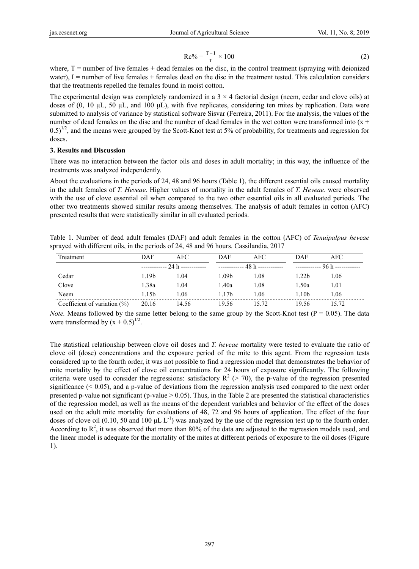$$
Re\% = \frac{T - I}{T} \times 100
$$
 (2)

where,  $T =$  number of live females  $+$  dead females on the disc, in the control treatment (spraying with deionized water),  $I =$  number of live females + females dead on the disc in the treatment tested. This calculation considers that the treatments repelled the females found in moist cotton.

The experimental design was completely randomized in a  $3 \times 4$  factorial design (neem, cedar and clove oils) at doses of (0, 10 μL, 50 μL, and 100 μL), with five replicates, considering ten mites by replication. Data were submitted to analysis of variance by statistical software Sisvar (Ferreira, 2011). For the analysis, the values of the number of dead females on the disc and the number of dead females in the wet cotton were transformed into (x +  $0.5$ <sup>1/2</sup>, and the means were grouped by the Scott-Knot test at 5% of probability, for treatments and regression for doses.

### **3. Results and Discussion**

There was no interaction between the factor oils and doses in adult mortality; in this way, the influence of the treatments was analyzed independently.

About the evaluations in the periods of 24, 48 and 96 hours (Table 1), the different essential oils caused mortality in the adult females of *T. Heveae*. Higher values of mortality in the adult females of *T. Heveae*. were observed with the use of clove essential oil when compared to the two other essential oils in all evaluated periods. The other two treatments showed similar results among themselves. The analysis of adult females in cotton (AFC) presented results that were statistically similar in all evaluated periods.

Table 1. Number of dead adult females (DAF) and adult females in the cotton (AFC) of *Tenuipalpus heveae* sprayed with different oils, in the periods of 24, 48 and 96 hours. Cassilandia, 2017

| Treatment                       | DAF   | <b>AFC</b>               | DAF               | AFC.                             | DAF                      | <b>AFC</b> |  |
|---------------------------------|-------|--------------------------|-------------------|----------------------------------|--------------------------|------------|--|
|                                 |       | $------ 24 h$ ---------- |                   | ------------ $48 h$ ------------ | $------ 96 h$ ---------- |            |  |
| Cedar                           | 1.19b | 1.04                     | 1.09b             | 1.08                             | 1.22b                    | 1.06       |  |
| Clove                           | 1.38a | 1.04                     | 1.40a             | 1.08                             | 1.50a                    | 1.01       |  |
| Neem                            | 1.15b | 1.06                     | 1.17 <sub>b</sub> | 1.06                             | 1.10b                    | 1.06       |  |
| Coefficient of variation $(\%)$ | 20.16 | 14.56                    | 19.56             | 15.72                            | 19.56                    | 15.72      |  |

*Note.* Means followed by the same letter belong to the same group by the Scott-Knot test ( $P = 0.05$ ). The data were transformed by  $(x + 0.5)^{1/2}$ .

The statistical relationship between clove oil doses and *T. heveae* mortality were tested to evaluate the ratio of clove oil (dose) concentrations and the exposure period of the mite to this agent. From the regression tests considered up to the fourth order, it was not possible to find a regression model that demonstrates the behavior of mite mortality by the effect of clove oil concentrations for 24 hours of exposure significantly. The following criteria were used to consider the regressions: satisfactory  $R^2$  (> 70), the p-value of the regression presented significance  $( $0.05$ )$ , and a p-value of deviations from the regression analysis used compared to the next order presented p-value not significant (p-value  $> 0.05$ ). Thus, in the Table 2 are presented the statistical characteristics of the regression model, as well as the means of the dependent variables and behavior of the effect of the doses used on the adult mite mortality for evaluations of 48, 72 and 96 hours of application. The effect of the four doses of clove oil (0.10, 50 and 100  $\mu$ L L<sup>-1</sup>) was analyzed by the use of the regression test up to the fourth order. According to  $\mathbb{R}^2$ , it was observed that more than 80% of the data are adjusted to the regression models used, and the linear model is adequate for the mortality of the mites at different periods of exposure to the oil doses (Figure 1).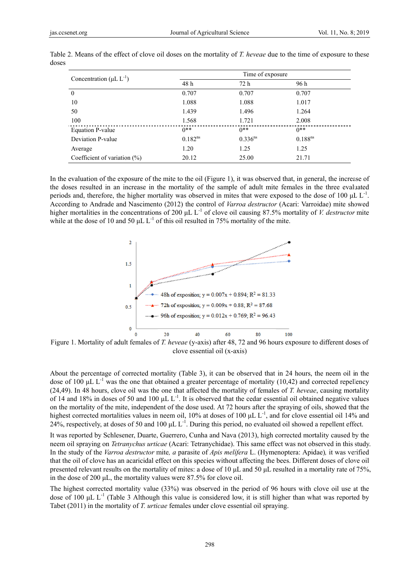|                                           | Time of exposure |                       |              |  |  |
|-------------------------------------------|------------------|-----------------------|--------------|--|--|
| Concentration ( $\mu$ L L <sup>-1</sup> ) | 48 h             | 72 h                  | 96 h         |  |  |
| 0                                         | 0.707            | 0.707                 | 0.707        |  |  |
| 10                                        | 1.088            | 1.088                 | 1.017        |  |  |
| 50                                        | 1.439            | 1.496                 | 1.264        |  |  |
| 100                                       | 1.568            | 1.721                 | 2.008        |  |  |
| Equation P-value                          | $0**$            | $0**$                 | $0**$        |  |  |
| Deviation P-value                         | $0.182^{ns}$     | $0.336$ <sup>ns</sup> | $0.188^{ns}$ |  |  |
| Average                                   | 1.20             | 1.25                  | 1.25         |  |  |
| Coefficient of variation $(\%)$           | 20.12            | 25.00                 | 21.71        |  |  |

Table 2. Means of the effect of clove oil doses on the mortality of T. heveae due to the time of exposure to these doses

In the evaluation of the exposure of the mite to the oil (Figure 1), it was observed that, in general, the increase of the doses resulted in an increase in the mortality of the sample of adult mite females in the three evaluated periods and, therefore, the higher mortality was observed in mites that were exposed to the dose of 100  $\mu$ L L<sup>-1</sup>. According to Andrade and Nascimento (2012) the control of *Varroa destructor* (Acari: Varroidae) mite showed higher mortalities in the concentrations of 200  $\mu$ L L<sup>-1</sup> of clove oil causing 87.5% mortality of *V. destructor* mite while at the dose of 10 and 50  $\mu$ L L<sup>-1</sup> of this oil resulted in 75% mortality of the mite.



clove ess sential oil (x-ax xis)

About the percentage of corrected mortality (Table 3), it can be observed that in 24 hours, the neem oil in the dose of 100  $\mu$ L L<sup>-1</sup> was the one that obtained a greater percentage of mortality (10,42) and corrected repellency (24,49). In 48 hours, clove oil was the one that affected the mortality of females of *T. heveae*, causing mortality of 14 and 18% in doses of 50 and 100  $\mu$ L L<sup>-1</sup>. It is observed that the cedar essential oil obtained negative values on the mortality of the mite, independent of the dose used. At 72 hours after the spraying of oils, showed that the highest corrected mortalities values in neem oil, 10% at doses of 100  $\mu$ L L<sup>-1</sup>, and for clove essential oil 14% and 24%, respectively, at doses of 50 and 100  $\mu$ L L<sup>-1</sup>. During this period, no evaluated oil showed a repellent effect.

It was reported by Schlesener, Duarte, Guerrero, Cunha and Nava (2013), high corrected mortality caused by the neem oil spraying on *Tetranychus urticae* (Acari: Tetranychidae). This same effect was not observed in this study. In the study of the *Varroa destructor* mite, a parasite of *Apis melifera* L. (Hymenoptera: Apidae), it was verified that the oil of clove has an acaricidal effect on this species without affecting the bees. Different doses of clove oil presented relevant results on the mortality of mites: a dose of 10  $\mu$ L and 50  $\mu$ L resulted in a mortality rate of 75%, in the dose of 200  $\mu$ L, the mortality values were 87.5% for clove oil.

The highest corrected mortality value (33%) was observed in the period of 96 hours with clove oil use at the dose of 100  $\mu$ L L<sup>-1</sup> (Table 3 Although this value is considered low, it is still higher than what was reported by Tabet (2011) in the mortality of *T. urticae* females under clove essential oil spraying.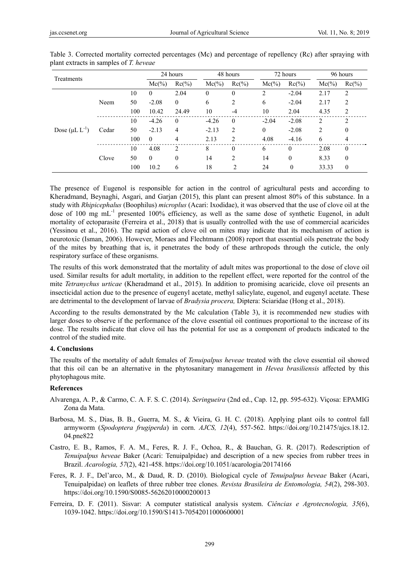| Treatments            |       |     | 24 hours     |               | 48 hours |                | 72 hours         |          | 96 hours |                  |
|-----------------------|-------|-----|--------------|---------------|----------|----------------|------------------|----------|----------|------------------|
|                       |       |     | $Mc(\%)$     | $Rc(\%)$      | $Mc(\%)$ | $Rc(\%)$       | $Mc(\%)$         | $Rc(\%)$ | $Mc(\%)$ | $Rc(\%)$         |
| Dose $(\mu L L^{-1})$ | Neem  | 10  | $\Omega$     | 2.04          | $\theta$ | $\theta$       | $\overline{c}$   | $-2.04$  | 2.17     | 2                |
|                       |       | 50  | $-2.08$      | $\theta$      | 6        | 2              | 6                | $-2.04$  | 2.17     | 2                |
|                       |       | 100 | 10.42        | 24.49         | 10       | $-4$           | 10               | 2.04     | 4.35     | 2                |
|                       | Cedar | 10  | $-4.26$      | $\theta$      | $-4.26$  | $\theta$       | $-2.04$          | $-2.08$  | 2        | 2                |
|                       |       | 50  | $-2.13$      | 4             | $-2.13$  | 2              | $\boldsymbol{0}$ | $-2.08$  | 2        | $\boldsymbol{0}$ |
|                       |       | 100 | $\mathbf{0}$ | 4             | 2.13     | $\overline{c}$ | 4.08             | $-4.16$  | 6        | 4                |
|                       | Clove | 10  | 4.08         | $\mathcal{L}$ | 8        | $\theta$       | 6                | $\theta$ | 2.08     | $\theta$         |
|                       |       | 50  | $\theta$     | $\mathbf{0}$  | 14       | $\overline{c}$ | 14               | $\theta$ | 8.33     | $\mathbf{0}$     |
|                       |       | 100 | 10.2         | 6             | 18       | $\overline{c}$ | 24               | $\theta$ | 33.33    | $\theta$         |

Table 3. Corrected mortality corrected percentages (Mc) and percentage of repellency (Rc) after spraying with plant extracts in samples of *T. heveae*

The presence of Eugenol is responsible for action in the control of agricultural pests and according to Kheradmand, Beynaghi, Asgari, and Garjan (2015), this plant can present almost 80% of this substance. In a study with *Rhipicephalus* (Boophilus) *microplus* (Acari: Ixodidae), it was observed that the use of clove oil at the dose of 100 mg mL<sup>-1</sup> presented 100% efficiency, as well as the same dose of synthetic Eugenol, in adult mortality of ectoparasite (Ferreira et al., 2018) that is usually controlled with the use of commercial acaricides (Yessinou et al., 2016). The rapid action of clove oil on mites may indicate that its mechanism of action is neurotoxic (Isman, 2006). However, Moraes and Flechtmann (2008) report that essential oils penetrate the body of the mites by breathing that is, it penetrates the body of these arthropods through the cuticle, the only respiratory surface of these organisms.

The results of this work demonstrated that the mortality of adult mites was proportional to the dose of clove oil used. Similar results for adult mortality, in addition to the repellent effect, were reported for the control of the mite *Tetranychus urticae* (Kheradmand et al., 2015). In addition to promising acaricide, clove oil presents an insecticidal action due to the presence of eugenyl acetate, methyl salicylate, eugenol, and eugenyl acetate. These are detrimental to the development of larvae of *Bradysia procera,* Diptera: Sciaridae (Hong et al., 2018).

According to the results demonstrated by the Mc calculation (Table 3), it is recommended new studies with larger doses to observe if the performance of the clove essential oil continues proportional to the increase of its dose. The results indicate that clove oil has the potential for use as a component of products indicated to the control of the studied mite.

## **4. Conclusions**

The results of the mortality of adult females of *Tenuipalpus heveae* treated with the clove essential oil showed that this oil can be an alternative in the phytosanitary management in *Hevea brasiliensis* affected by this phytophagous mite.

#### **References**

- Alvarenga, A. P., & Carmo, C. A. F. S. C. (2014). *Seringueira* (2nd ed., Cap. 12, pp. 595-632). Viçosa: EPAMIG Zona da Mata.
- Barbosa, M. S., Dias, B. B., Guerra, M. S., & Vieira, G. H. C. (2018). Applying plant oils to control fall armyworm (*Spodoptera frugiperda*) in corn. *AJCS, 12*(4), 557-562. https://doi.org/10.21475/ajcs.18.12. 04.pne822
- Castro, E. B., Ramos, F. A. M., Feres, R. J. F., Ochoa, R., & Bauchan, G. R. (2017). Redescription of *Tenuipalpus heveae* Baker (Acari: Tenuipalpidae) and description of a new species from rubber trees in Brazil. *Acarologia, 57*(2), 421-458. https://doi.org/10.1051/acarologia/20174166
- Feres, R. J. F., Del'arco, M., & Daud, R. D. (2010). Biological cycle of *Tenuipalpus heveae* Baker (Acari, Tenuipalpidae) on leaflets of three rubber tree clones. *Revista Brasileira de Entomologia, 54*(2), 298-303. https://doi.org/10.1590/S0085-56262010000200013
- Ferreira, D. F. (2011). Sisvar: A computer statistical analysis system. *Ciências e Agrotecnologia, 35*(6), 1039-1042. https://doi.org/10.1590/S1413-70542011000600001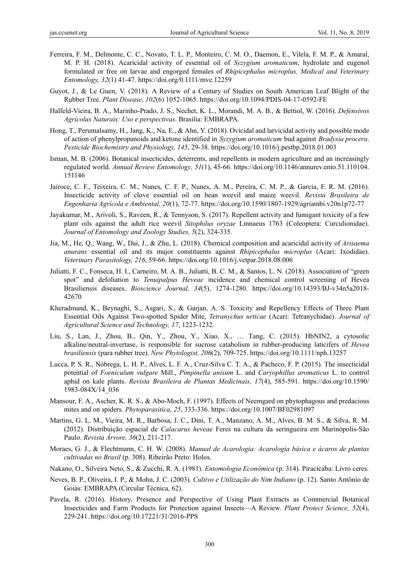- Ferreira, F. M., Delmonte, C. C., Novato, T. L. P., Monteiro, C. M. O., Daemon, E., Vilela, F. M. P., & Amaral, M. P. H. (2018). Acaricidal activity of essential oil of *Syzygium aromaticum*, hydrolate and eugenol formulated or free on larvae and engorged females of *Rhipicephalus microplus. Medical and Veterinary Entomology, 32*(1) 41-47. https://doi.org/0.1111/mve.12259
- Guyot, J., & Le Guen, V. (2018). A Review of a Century of Studies on South American Leaf Blight of the Rubber Tree. *Plant Disease, 102*(6) 1052-1065. https://doi.org/10.1094/PDIS-04-17-0592-FE
- Halfeld-Vieira, B. A., Marinho-Prado, J. S., Nechet, K. L., Morandi, M. A. B., & Bettiol, W. (2016). *Defensivos Agrícolas Naturais: Uso e perspectivas*. Brasilia: EMBRAPA.
- Hong, T., Perumalsamy, H., Jang, K., Na, E., & Ahn, Y. (2018). Ovicidal and larvicidal activity and possible mode of action of phenylpropanoids and ketone identified in *Syzygium aromaticum* bud against *Bradysia procera*. *Pesticide Biochemistry and Physiology, 145*, 29-38. https://doi.org/10.1016/j.pestbp.2018.01.003
- Isman, M. B. (2006). Botanical insecticides, deterrents, and repellents in modern agriculture and an increasingly regulated world. *Annual Review Entomology, 51*(1), 45-66. https://doi.org/10.1146/annurev.ento.51.110104. 151146
- Jairoce, C. F., Teixeira, C. M., Nunes, C. F. P., Nunes, A. M., Pereira, C. M. P., & Garcia, F. R. M. (2016). Insecticide activity of clove essential oil on bean weevil and maize weevil. *Revista Brasileira de Engenharia Agrícola e Ambiental, 20*(1), 72-77. https://doi.org/10.1590/1807-1929/agriambi.v20n1p72-77
- Jayakumar, M., Arivoli, S., Raveen, R., & Tennyson, S. (2017). Repellent activity and fumigant toxicity of a few plant oils against the adult rice weevil *Sitophilus oryzae* Linnaeus 1763 (Coleoptera: Curculionidae). *Journal of Entomology and Zoology Studies, 5*(2), 324-335.
- Jia, M., He, Q., Wang, W., Dai, J., & Zhu, L. (2018). Chemical composition and acaricidal activity of *Arisaema anurans* essential oil and its major constituents against *Rhipicephalus microplus* (Acari: Ixodidae). *Veterinary Parasitology, 216*, 59-66. https://doi.org/10.1016/j.vetpar.2018.08.006
- Juliatti, F. C., Fonseca, H. I., Carneiro, M. A. B., Juliatti, B. C. M., & Santos, L. N. (2018). Association of "green spot" and defoliation to *Tenuipalpus Heveae* incidence and chemical control screening of Hevea Brasiliensis diseases. *Bioscience Journal, 34*(5), 1274-1280. https://doi.org/10.14393/BJ-v34n5a2018- 42670
- Kheradmand, K., Beynaghi, S., Asgari, S., & Garjan, A. S. Toxicity and Repellency Effects of Three Plant Essential Oils Against Two-spotted Spider Mite, *Tetranychus urticae* (Acari: Tetranychidae). *Journal of Agricultural Science and Technology, 17*, 1223-1232.
- Liu, S., Lan, J., Zhou, B., Qin, Y., Zhou, Y., Xiao, X., … Tang, C. (2015). HbNIN2, a cytosolic alkaline/neutral-invertase, is responsible for sucrose catabolism in rubber-producing laticifers of *Hevea brasiliensis* (para rubber tree). *New Phytologist, 206*(2), 709-725. https://doi.org/10.1111/nph.13257
- Lucca, P. S. R., Nóbrega, L. H. P., Alves, L. F. A., Cruz-Silva C. T. A., & Pacheco, F. P. (2015). The insecticidal potential of *Foeniculum vulgare* Mill., *Pimpinella anisum* L. and *Caryophillus aromaticus* L. to control aphid on kale plants. *Revista Brasileira de Plantas Medicinais, 17*(4), 585-591. https://doi.org/10.1590/ 1983-084X/14\_036
- Mansour, F. A., Ascher, K. R. S., & Abo-Moch, F. (1997). Effects of Neemgard on phytophagous and predacious mites and on spiders. *Phytoparasitica, 25*, 333-336. https://doi.org/10.1007/BF02981097
- Martins, G. L. M., Vieira, M. R., Barbosa, J. C., Dini, T. A., Manzano, A. M., Alves, B. M. S., & Silva, R. M. (2012). Distribuição espacial de *Calacarus heveae* Feres na cultura da seringueira em Marinópolis-São Paulo. *Revista Árvore, 36*(2), 211-217.
- Moraes, G. J., & Flechtmann, C. H. W. (2008). *Manual de Acarologia: Acarologia básica e ácaros de plantas cultivadas no Brasil* (p. 308). Ribeirão Preto: Holos.
- Nakano, O., Silveira Neto, S., & Zucchi, R. A. (1981). *Entomologia Econômica* (p. 314). Piracicaba: Livro ceres.
- Neves, B. P., Oliveira, I. P., & Mohn, J. C. (2003). *Cultivo e Utilização do Nim Indiano* (p. 12). Santo Antônio de Goiás: EMBRAPA (Circular Técnica, 62).
- Pavela, R. (2016). History, Presence and Perspective of Using Plant Extracts as Commercial Botanical Insecticides and Farm Products for Protection against Insects—A Review. *Plant Protect Science, 52*(4), 229-241. https://doi.org/10.17221/31/2016-PPS